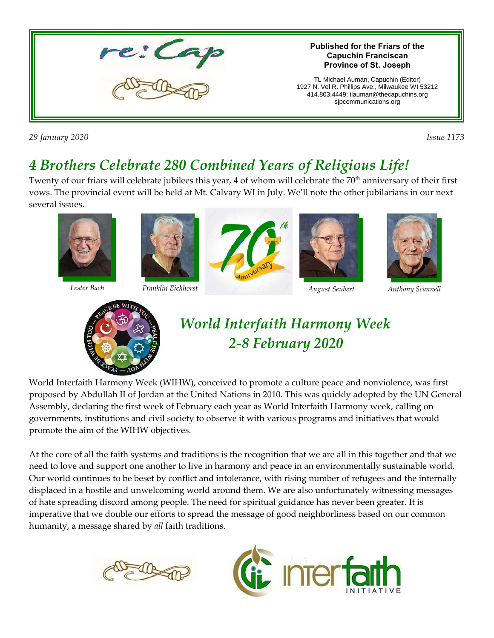

*29 January 2020 Issue 1173*

# *4 Brothers Celebrate 280 Combined Years of Religious Life!*

Twenty of our friars will celebrate jubilees this year, 4 of whom will celebrate the  $70<sup>th</sup>$  anniversary of their first vows. The provincial event will be held at Mt. Calvary WI in July. We'll note the other jubilarians in our next several issues.













*Lester Bach Franklin Eichhorst August Seubert Anthony Scannell*



# *World Interfaith Harmony Week 2- 2-8 February 2020*

World Interfaith Harmony Week (WIHW), conceived to promote a culture peace and nonviolence, was first proposed by Abdullah II of Jordan at the United Nations in 2010. This was quickly adopted by the UN General Assembly, declaring the first week of February each year as World Interfaith Harmony week, calling on governments, institutions and civil society to observe it with various programs and initiatives that would promote the aim of the WIHW objectives.

At the core of all the faith systems and traditions is the recognition that we are all in this together and that we need to love and support one another to live in harmony and peace in an environmentally sustainable world. Our world continues to be beset by conflict and intolerance, with rising number of refugees and the internally displaced in a hostile and unwelcoming world around them. We are also unfortunately witnessing messages of hate spreading discord among people. The need for spiritual guidance has never been greater. It is imperative that we double our efforts to spread the message of good neighborliness based on our common humanity, a message shared by *all* faith traditions.



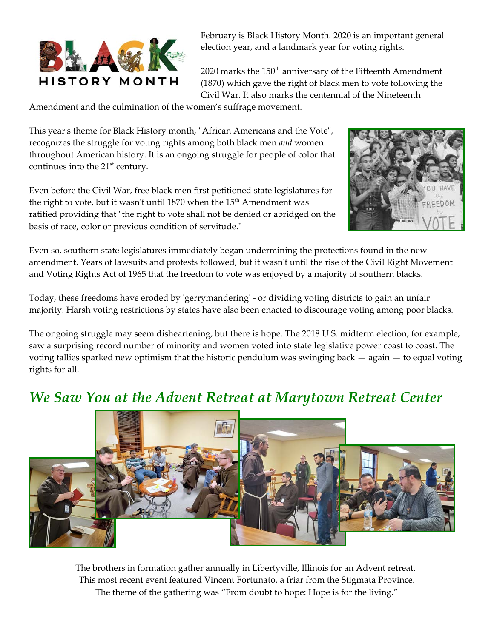

February is Black History Month. 2020 is an important general election year, and a landmark year for voting rights.

 $2020$  marks the  $150<sup>th</sup>$  anniversary of the Fifteenth Amendment (1870) which gave the right of black men to vote following the Civil War. It also marks the centennial of the Nineteenth

Amendment and the culmination of the women's suffrage movement.

This year's theme for Black History month, "African Americans and the Vote", recognizes the struggle for voting rights among both black men *and* women throughout American history. It is an ongoing struggle for people of color that continues into the  $21<sup>st</sup>$  century.

Even before the Civil War, free black men first petitioned state legislatures for the right to vote, but it wasn't until 1870 when the  $15<sup>th</sup>$  Amendment was ratified providing that "the right to vote shall not be denied or abridged on the basis of race, color or previous condition of servitude."



Even so, southern state legislatures immediately began undermining the protections found in the new amendment. Years of lawsuits and protests followed, but it wasn't until the rise of the Civil Right Movement and Voting Rights Act of 1965 that the freedom to vote was enjoyed by a majority of southern blacks.

Today, these freedoms have eroded by 'gerrymandering' - or dividing voting districts to gain an unfair majority. Harsh voting restrictions by states have also been enacted to discourage voting among poor blacks.

The ongoing struggle may seem disheartening, but there is hope. The 2018 U.S. midterm election, for example, saw a surprising record number of minority and women voted into state legislative power coast to coast. The voting tallies sparked new optimism that the historic pendulum was swinging back — again — to equal voting rights for all.

#### *We Saw You at the Advent Retreat at Marytown Retreat Center*



The brothers in formation gather annually in Libertyville, Illinois for an Advent retreat. This most recent event featured Vincent Fortunato, a friar from the Stigmata Province. The theme of the gathering was "From doubt to hope: Hope is for the living."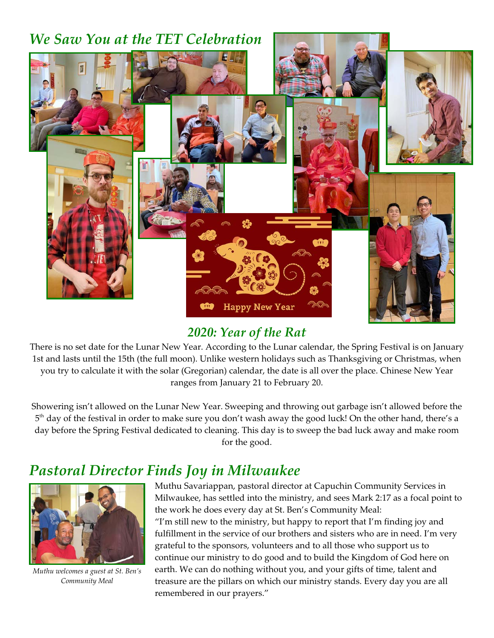### *We Saw You at the TET Celebration*



#### *2020: Year of the Rat*

There is no set date for the Lunar New Year. According to the Lunar calendar, the Spring Festival is on January 1st and lasts until the 15th (the full moon). Unlike western holidays such as Thanksgiving or Christmas, when you try to calculate it with the solar (Gregorian) calendar, the date is all over the place. Chinese New Year ranges from January 21 to February 20.

Showering isn't allowed on the Lunar New Year. Sweeping and throwing out garbage isn't allowed before the  $5^{\text{th}}$  day of the festival in order to make sure you don't wash away the good luck! On the other hand, there's a day before the Spring Festival dedicated to cleaning. This day is to sweep the bad luck away and make room for the good.

## *Pastoral Director Finds Joy in Milwaukee*



*Muthu welcomes a guest at St. Ben's Community Meal*

Muthu Savariappan, pastoral director at Capuchin Community Services in Milwaukee, has settled into the ministry, and sees Mark 2:17 as a focal point to the work he does every day at St. Ben's Community Meal: "I'm still new to the ministry, but happy to report that I'm finding joy and fulfillment in the service of our brothers and sisters who are in need. I'm very grateful to the sponsors, volunteers and to all those who support us to continue our ministry to do good and to build the Kingdom of God here on earth. We can do nothing without you, and your gifts of time, talent and treasure are the pillars on which our ministry stands. Every day you are all remembered in our prayers."